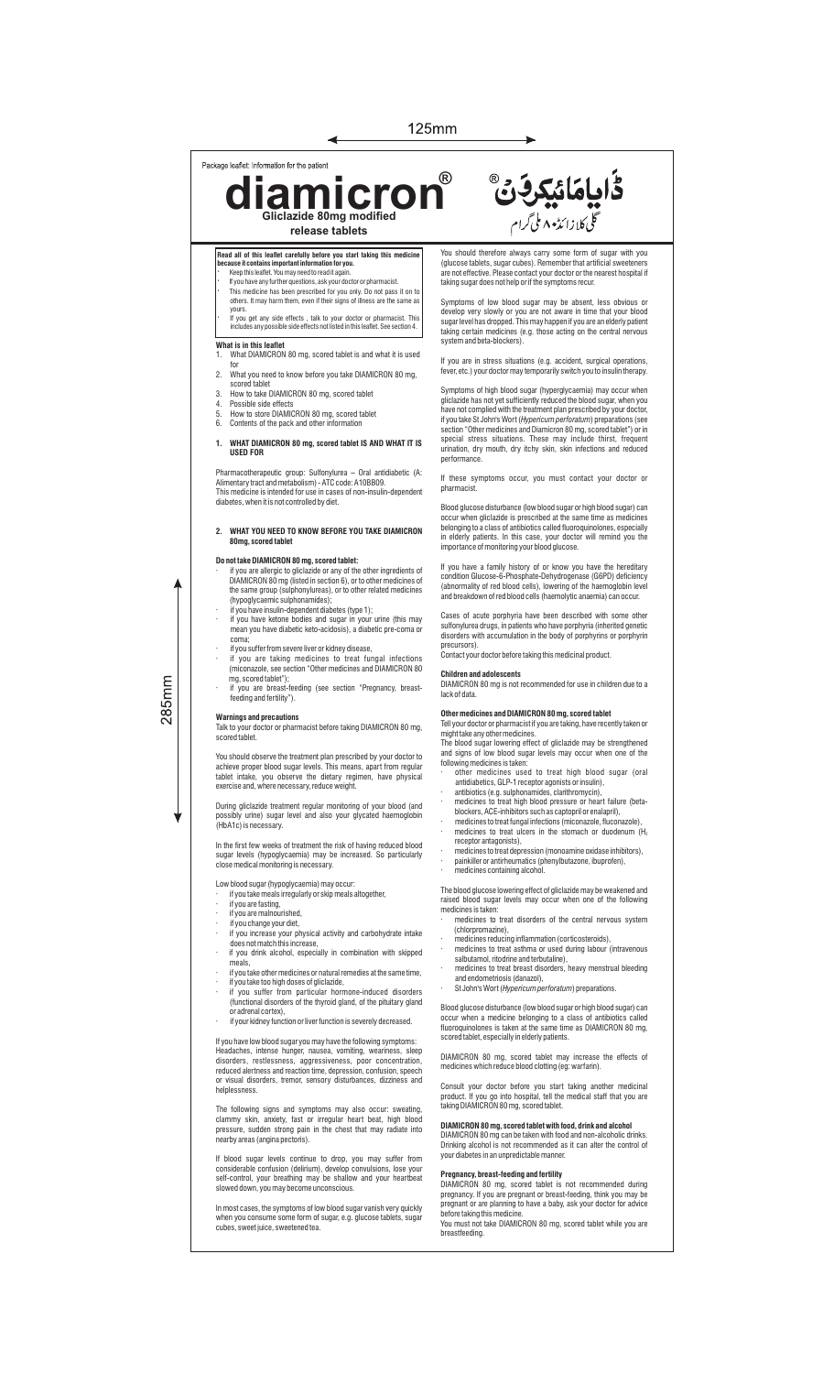## Package leaflet: Information for the patient

**diamicron Gliclazide 80mg modified ®**

Read all of this leaflet carefully before you start taking this med<br>because it contains important information for you.

- **because it contains important information for you.** · Keep this leaet. You may need to read it again.
- If you have any further questions, ask your doctor or pharmacist · This medicine has been prescribed for you only. Do not pass it on to others. It may harm them, even if their signs of illness are the same as

**release tablets**

◀

yours. · If you get any side effects , talk to your doctor or pharmacist. This includes any possible side effects not listed in this leaet. See section 4.

## **What is in this leaflet**<br>1 What DIAMICRON

- 1. What DIAMICRON 80 mg, scored tablet is and what it is used for 2. What you need to know before you take DIAMICRON 80 mg,
- 
- scored tablet 3. How to take DIAMICRON 80 mg, scored tablet
- 4. Possible side effects 5. How to store DIAMICRON 80 mg, scored tablet 6. Contents of the pack and other information
- 

## **1. WHAT DIAMICRON 80 mg, scored tablet IS AND WHAT IT IS USED FOR**

Pharmacotherapeutic group: Sulfonylurea – Oral antidiabetic (A: Alimentary tract and metabolism) - ATC code: A10BB09. This medicine is intended for use in cases of non-insulin-dependent diabetes, when it is not controlled by diet.

## **2. WHAT YOU NEED TO KNOW BEFORE YOU TAKE DIAMICRON 80mg, scored tablet**

- **Do not take DIAMICRON 80 mg, scored tablet:**<br>
The you are allergic to gliclazide or any of the other ingredients of<br>
DIAMICRON 80 mg (listed in section 6), or to other medicines of<br>
the same group (sulphonylureas), or to
- · if you have insulin-dependent diabetes (type 1); · if you have ketone bodies and sugar in your urine (this may mean you have diabetic keto-acidosis), a diabetic pre-coma or
- coma;
- · if you suffer from severe liver or kidney disease, · if you are taking medicines to treat fungal infections (miconazole, see section "Other medicines and DIAMICRON 80 mg, scored tablet"); · if you are breast-feeding (see section "Pregnancy, breast-

## **Warnings and precautions**

feeding and fertility").

Talk to your doctor or pharmacist before taking DIAMICRON 80 mg, scored tablet.

You should observe the treatment plan prescribed by your doctor to<br>achieve proper blood sugar levels. This means, apart from regular<br>tablet intake, you observe the dietary regimen, have physical<br>exercise and, where necessa

During gliclazide treatment regular monitoring of your blood (and possibly urine) sugar level and also your glycated haemoglobin (HbA1c) is necessary.

In the first few weeks of treatment the risk of having reduced blood sugar levels (hypoglycaemia) may be increased. So particularly close medical monitoring is necessary.

- Low blood sugar (hypoglycaemia) may occur: · if you take meals irregularly or skip meals altogether,
- · if you are fasting,
- · if you are malnourished,
- 
- · if you change your diet, · if you increase your physical activity and carbohydrate intake does not match this increase, · if you drink alcohol, especially in combination with skipped
- meals,
- · if you take other medicines or natural remedies at the same time,
- · if you take too high doses of gliclazide, · if you suffer from particular hormone-induced disorders (functional disorders of the thyroid gland, of the pituitary gland
- or adrenal cortex), · if your kidney function or liver function is severely decreased.

If you have low blood sugar you may have the following symptoms:<br>Headaches, intense hunger, nausea, vomiting, weariness, sleep<br>disorders, restlessness, aggressiveness, poor concentration,<br>reduced alertness and reaction tim

The following signs and symptoms may also occur: sweating, clammy skin, anxiety, fast or irregular heart beat, high blood pressure, sudden strong pain in the chest that may radiate into nearby areas (angina pectoris).

If blood sugar levels continue to drop, you may suffer from considerable confusion (delirium), develop convulsions, lose your self-control, your breathing may be shallow and your heartbeat slowed down, you may become unconscious.

In most cases, the symptoms of low blood sugar vanish very quickly when you consume some form of sugar, e.g. glucose tablets, sugar cubes, sweet juice, sweetened tea.

You should therefore always carry some form of sugar with you (glucose tablets, sugar cubes). Remember that artificial sweeteners are not effective. Please contact your doctor or the nearest hospital if taking sugar does not help or if the symptoms recur.

ػؙٳۑٳمَائيکرفَنَّ

ی<br>گلی کلازا ئڈیہ ۸ ملی گرام

Symptoms of low blood sugar may be absent, less obvious or<br>develop very slowly or you are not aware in time that your blood<br>sugarlevelhas dropped. This may happen if you are an elderly patient<br>taking certain medicines (e.g system and beta-blockers).

If you are in stress situations (e.g. accident, surgical operations, fever, etc.) your doctor may temporarily switch you to insulin therapy.

Symptoms of high blood sugar (hyperglycaemia) may occur when gliclazide has not yet sufficiently reduced the blood sugar, when you have not complied with the treatment plan prescribed by your doctor, ifyoutake StJohn's Wort (*Hypericum perforatum*) preparations (see<br>section "Other medicines and Diamicron 80 mg, scored tablet") or in<br>special stress situations. These may include thirst, frequent<br>urination, dry mouth, dry performance.

If these symptoms occur, you must contact your doctor or pharmacis

Blood glucose disturbance (low blood sugar or high blood sugar) can occur when gliclazide is prescribed at the same time as medicines belonging to a class of antibiotics called fluoroquinolones, especially in elderly patients. In this case, your doctor will remind you the importance of monitoring your blood glucose.

If you have a family history of or know you have the hereditary condition Glucose-6-Phosphate-Dehydrogenase (G6PD) deficiency (abnormality of red blood cells), lowering of the haemoglobin level and breakdown of red blood cells (haemolytic anaemia) can occur.

Cases of acute porphyria have been described with some other sulfonylurea drugs, in patients who have porphyria (inherited genetic disorders with accumulation in the body of porphyrins or porphyrin

precursors). Contact your doctor before taking this medicinal product.

**Children and adolescents** DIAMICRON 80 mg is not recommended for use in children due to a lack of data.

# **Other medicines and DIAMICRON 80 mg, scored tablet**

Tell your doctor or pharmacist if you are taking, have recently taken or might take any other medicines. The blood sugar lowering effect of gliclazide may be strengthened

and signs of low blood sugar levels may occur when one of the following medicines is taken:

- other medicines used to treat high blood sugar (oral<br>antidiabetics, GLP-1 receptor agonists or insulin),<br>antibiotics (e.g. sulphonamides, clarithromycin),<br>medicines to treat high blood pressure or heart failure (beta-<br>bloc
- 
- medicines to treat fungal infections (miconazole, fluconazole), medicines to treat ulcers in the stomach or duodenum (H.
- medicines to treat ulcers in the stomach or duodenum (H<sub>2</sub><br>receptor antagonists),<br>medicinest otreat depression (monoamine oxidase inhibitors),<br>painkiller or antirheumatics (phenylbutazone, ibuprofen),<br>medicines containing
- 

The blood glucose lowering effect of gliclazide may be weakened and raised blood sugar levels may occur when one of the following

- medicines is taken<br>medicines to<br>(chlorpromazi edicines to treat disorders of the central nervous system
- (chlorpromazine), · medicines reducing inflammation (corticosteroids), · medicines to treat asthma or used during labour (intravenous salbutamol, ritodrine and terbutaline),
- medicines to treat breast disorders, heavy menstrual bleeding and endometriosis (danazol),
- · St John's Wort (*Hypericum perforatum*) preparations.

Blood glucose disturbance (low blood sugar or high blood sugar) can occur when a medicine belonging to a class of antibiotics called fluoroquinolones is taken at the same time as DIAMICRON 80 mg, scored tablet, especially in elderly patients.

DIAMICRON 80 mg, scored tablet may increase the effects of medicines which reduce blood clotting (eg: warfarin).

Consult your doctor before you start taking another medicinal product. If you go into hospital, tell the medical staff that you are taking DIAMICRON 80 mg, scored tablet.

## **DIAMICRON 80 mg, scored tablet with food, drink and alcohol**

DIAMICRON 80 mg can be taken with food and non-alcoholic drinks. Drinking alcohol is not recommended as it can alter the control of your diabetes in an unpredictable manner.

**Pregnancy, breast-feeding and fertility**<br>DIAMICRON 80 mg, scored tablet is not recommended during<br>pregnancy. If you are pregnant or breast-feeding, think you may be<br>pregnant or are planning to have a baby, ask your doctor

285mm